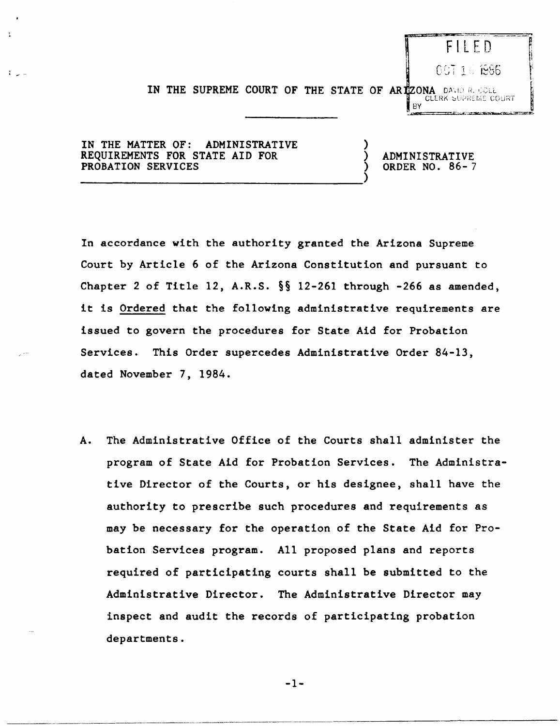## FILED.

CCT 16 1986

IN THE SUPREME COURT OF THE STATE OF ARIZONA DAVID RECOLL **CLERK** SUPREME COURT

)

IN THE MATTER OF: ADMINISTRATIVE REQUIREMENTS FOR STATE AID FOR PROBATION SERVICES

-----------------------------------)

) ADMINISTRATIVE ) ORDER NO. 86- 7

BY

In accordance with the authority granted the Arizona Supreme Court by Article 6 of the Arizona Constitution and pursuant to Chapter 2 of Title 12, A.R.S. §§ 12-261 through -266 as amended, it is Ordered that the following administrative requirements are issued to govern the procedures for State Aid for Probation Services. This Order supercedes Administrative Order 84-13, dated November 7, 1984.

A. The Administrative Office of the Courts shall administer the program of State Aid for Probation Services. The Administrative Director of the Courts, or his designee, shall have the authority to prescribe such procedures and requirements as may be necessary for the operation of the State Aid for Probation Services program. All proposed plans and reports required of participating courts shall be submitted to the Administrative Director. The Administrative Director may inspect and audit the records of participating probation departments.

-1-

----~-------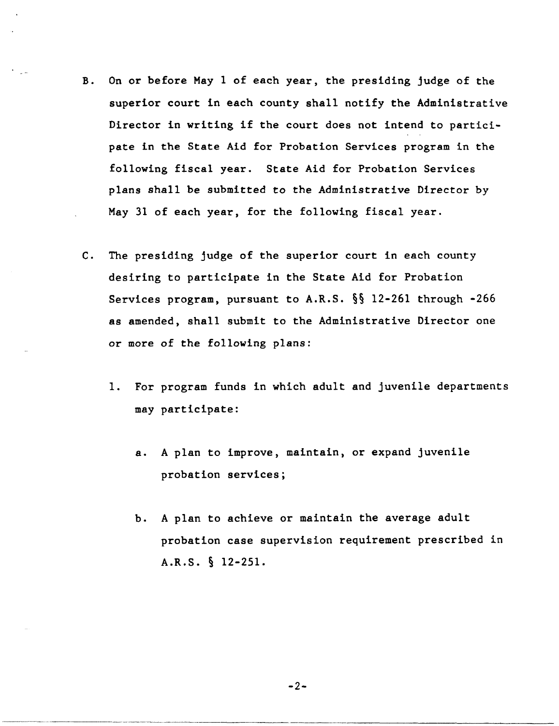- B. On or before May 1 of each year, the presiding judge of the superior court in each county shall notify the Administrative Director in writing if the court does not intend to participate in the State Aid for Probation Services program in the following fiscal year. State Aid for Probation Services plans shall be submitted to the Administrative Director by May 31 of each year, for the following fiscal year.
- C. The presiding judge of the superior court in each county desiring to participate in the State Aid for Probation Services program, pursuant to A.R.S. §§ 12-261 through -266 as amended, shall submit to the Administrative Director one or more of the following plans:
	- 1. For program funds in which adult and juvenile departments may participate:
		- a. A plan to improve, maintain, or expand juvenile probation services;
		- b. A plan to achieve or maintain the average adult probation case supervision requirement prescribed in A.R.S. § 12-251.

 $-2-$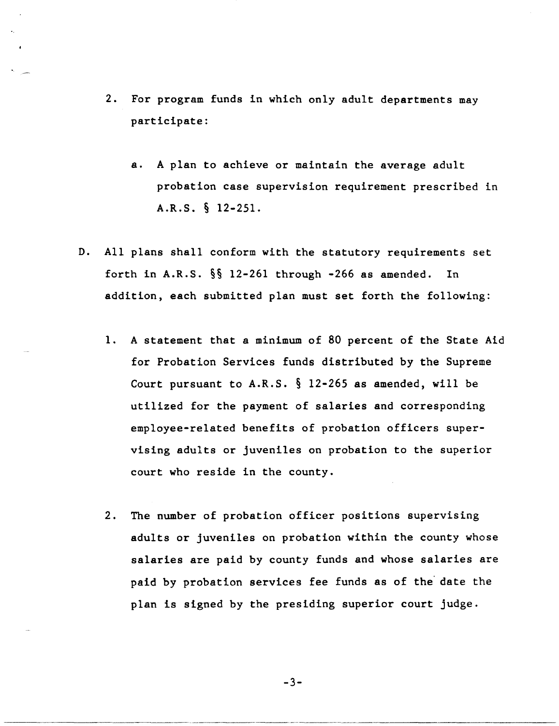- 2. For program funds in which only adult departments may participate:
	- a. A plan to achieve or maintain the average adult probation case supervision requirement prescribed in A.R.S. § 12-251.
- D. All plans shall conform with the statutory requirements set forth in A.R.S. §§ 12-261 through -266 as amended. In addition, each submitted plan must set forth the following:
	- 1. A statement that a minimum of 80 percent of the State Aid for Probation Services funds distributed by the Supreme Court pursuant to  $A.R.S. \S 12-265$  as amended, will be utilized for the payment of salaries and corresponding employee-related benefits of probation officers supervising adults or juveniles on probation to the superior court who reside in the county.
	- 2. The number of probation officer positions supervising adults or juveniles on probation within the county whose salaries are paid by county funds and whose salaries are paid by probation services fee funds as of the date the plan is signed by the presiding superior court judge.

-3-

-------------------- ------------------- ---------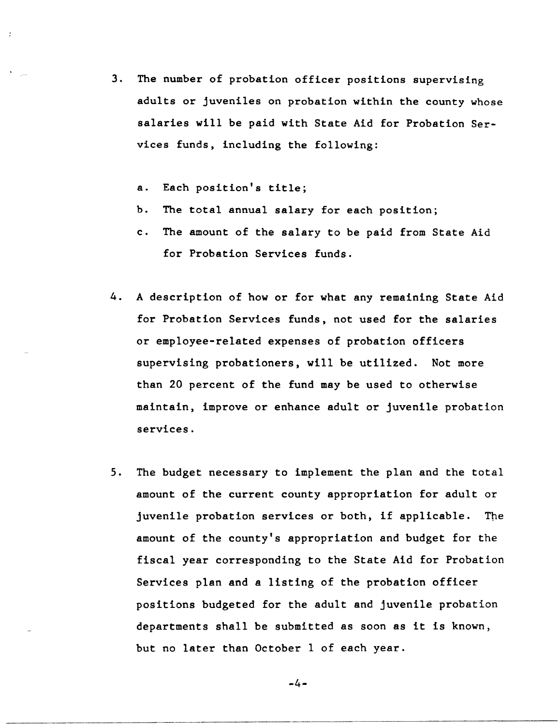- 3. The number of probation officer positions supervising adults or juveniles on probation within the county whose salaries will be paid with State Aid for Probation Services funds, including the following:
	- a. Each position's title;
	- b. The total annual salary for each position;
	- c. The amount of the salary to be paid from State Aid for Probation Services funds.
- 4. A description of how or for what any remaining State Aid for Probation Services funds, not used for the salaries or employee-related expenses of probation officers supervising probationers, will be utilized. Not more than 20 percent of the fund may be used to otherwise maintain, improve or enhance adult or juvenile probation services.
- 5. The budget necessary to implement the plan and the total amount of the current county appropriation for adult or juvenile probation services or both, if applicable. The amount of the county's appropriation and budget for the fiscal year corresponding to the State Aid for Probation Services plan and a listing of the probation officer positions budgeted for the adult and juvenile probation departments shall be submitted as soon as it is known, but no later than October I of each year.

-4-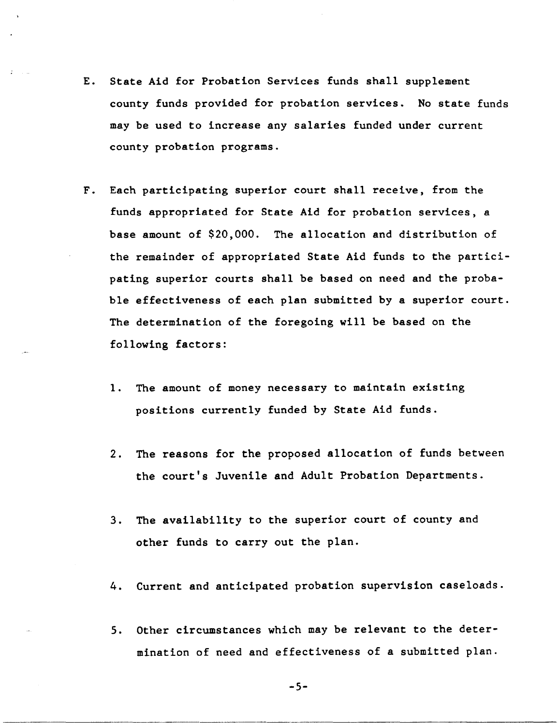- E. State Aid for Probation Services funds shall supplement county funds provided for probation services. No state funds may be used to increase any salaries funded under current county probation programs.
- F. Each participating superior court shall receive, from the funds appropriated for State Aid for probation services, a base amount of \$20,000. The allocation and distribution of the remainder of appropriated State Aid funds to the participating superior courts shall be based on need and the probable effectiveness of each plan submitted by a superior court. The determination of the foregoing will be based on the following factors:
	- 1. The amount of money necessary to maintain existing positions currently funded by State Aid funds.
	- 2. The reasons for the proposed allocation of funds between the court's Juvenile and Adult Probation Departments.
	- 3. The availability to the superior court of county and other funds to carry out the plan.
	- 4. Current and anticipated probation supervision caseloads.
	- 5. Other circumstances which may be relevant to the determination of need and effectiveness of a submitted plan.

-5-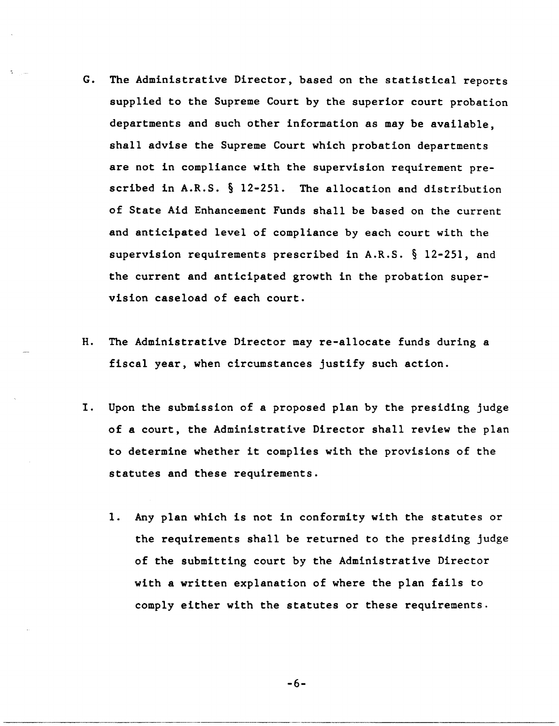- G. The Administrative Director, based on the statistical reports supplied to the Supreme Court by the superior court probation departments and such other information as may be available, shall advise the Supreme Court which probation departments are not in compliance with the supervision requirement prescribed in A.R.S. § 12-251. The allocation and distribution of State Aid Enhancement Funds shall be based on the current and anticipated level of compliance by each court with the supervision requirements prescribed in A.R.S. § 12-251, and the current and anticipated growth in the probation supervision case load of each court.
- H. The Administrative Director may re-allocate funds during a fiscal year, when circumstances justify such action.
- I. Upon the submission of a proposed plan by the presiding judge of a court, the Administrative Director shall review the plan to determine whether it complies with the provisions of the statutes and these requirements.
	- 1. Any plan which is not in conformity with the statutes or the requirements shall be returned to the presiding judge of the submitting court by the Administrative Director with a written explanation of where the plan fails to comply either with the statutes or these requirements.

-6-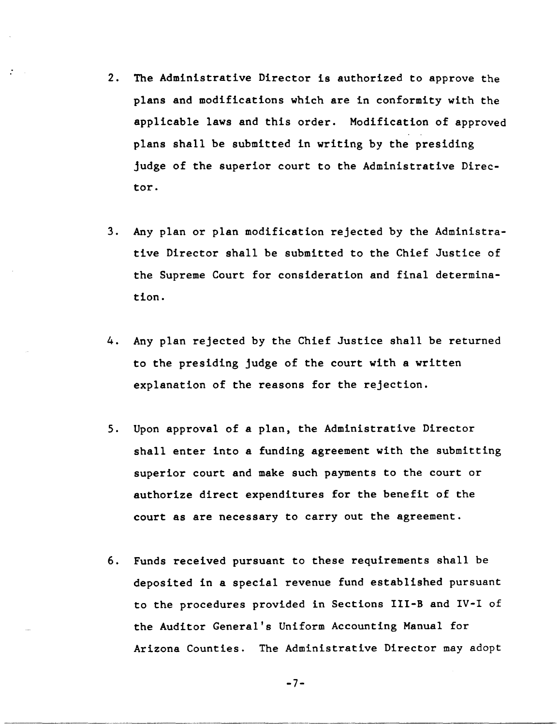- 2. The Administrative Director is authorized to approve the plans and modifications which are in conformity with the applicable laws and this order. Modification of approved plans shall be submitted in writing by the presiding judge of the superior court to the Administrative Director.
- 3. Any plan or plan modification rejected by the Administrative Director shall be submitted to the Chief Justice of the Supreme Court for consideration and final determination.
- 4. Any plan rejected by the Chief Justice shall be returned to the presiding judge of the court with a written explanation of the reasons for the rejection.
- 5. Upon approval of a plan, the Administrative Director shall enter into a funding agreement with the submitting superior court and make such payments to the court or authorize direct expenditures for the benefit of the court as are necessary to carry out the agreement.
- 6. Funds received pursuant to these requirements shall be deposited in a special revenue fund established pursuant to the procedures provided in Sections III-B and IV-I of the Auditor General's Uniform Accounting Manual for Arizona Counties. The Administrative Director may adopt

-7-

-----------------------------------------------------